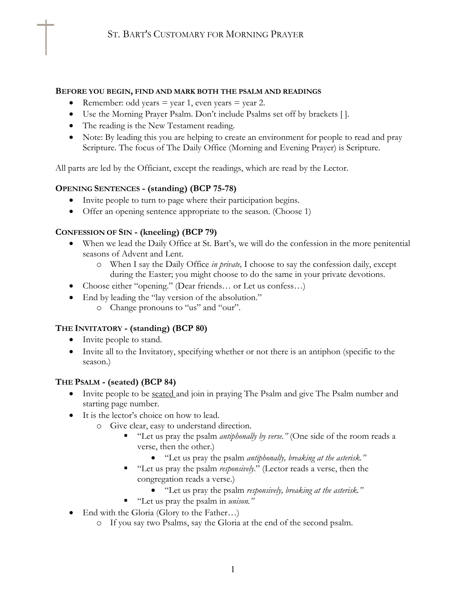#### **BEFORE YOU BEGIN, FIND AND MARK BOTH THE PSALM AND READINGS**

- Remember: odd years  $=$  year 1, even years  $=$  year 2.
- Use the Morning Prayer Psalm. Don't include Psalms set off by brackets [ ].
- The reading is the New Testament reading.
- Note: By leading this you are helping to create an environment for people to read and pray Scripture. The focus of The Daily Office (Morning and Evening Prayer) is Scripture.

All parts are led by the Officiant, except the readings, which are read by the Lector.

# **OPENING SENTENCES - (standing) (BCP 75-78)**

- Invite people to turn to page where their participation begins.
- Offer an opening sentence appropriate to the season. (Choose 1)

# **CONFESSION OF SIN - (kneeling) (BCP 79)**

- When we lead the Daily Office at St. Bart's, we will do the confession in the more penitential seasons of Advent and Lent.
	- o When I say the Daily Office *in private,* I choose to say the confession daily, except during the Easter; you might choose to do the same in your private devotions.
- Choose either "opening." (Dear friends... or Let us confess...)
- End by leading the "lay version of the absolution."
	- o Change pronouns to "us" and "our".

# **THE INVITATORY - (standing) (BCP 80)**

- Invite people to stand.
- Invite all to the Invitatory, specifying whether or not there is an antiphon (specific to the season.)

### **THE PSALM - (seated) (BCP 84)**

- Invite people to be <u>seated</u> and join in praying The Psalm and give The Psalm number and starting page number.
- It is the lector's choice on how to lead.
	- o Give clear, easy to understand direction.
		- "Let us pray the psalm *antiphonally by verse.*" (One side of the room reads a verse, then the other.)
			- "Let us pray the psalm *antiphonally, breaking at the asterisk."*
		- "Let us pray the psalm *responsively.*" (Lector reads a verse, then the congregation reads a verse.)
			- "Let us pray the psalm *responsively, breaking at the asterisk."*
		- § "Let us pray the psalm in *unison."*
- End with the Gloria (Glory to the Father...)
	- o If you say two Psalms, say the Gloria at the end of the second psalm.